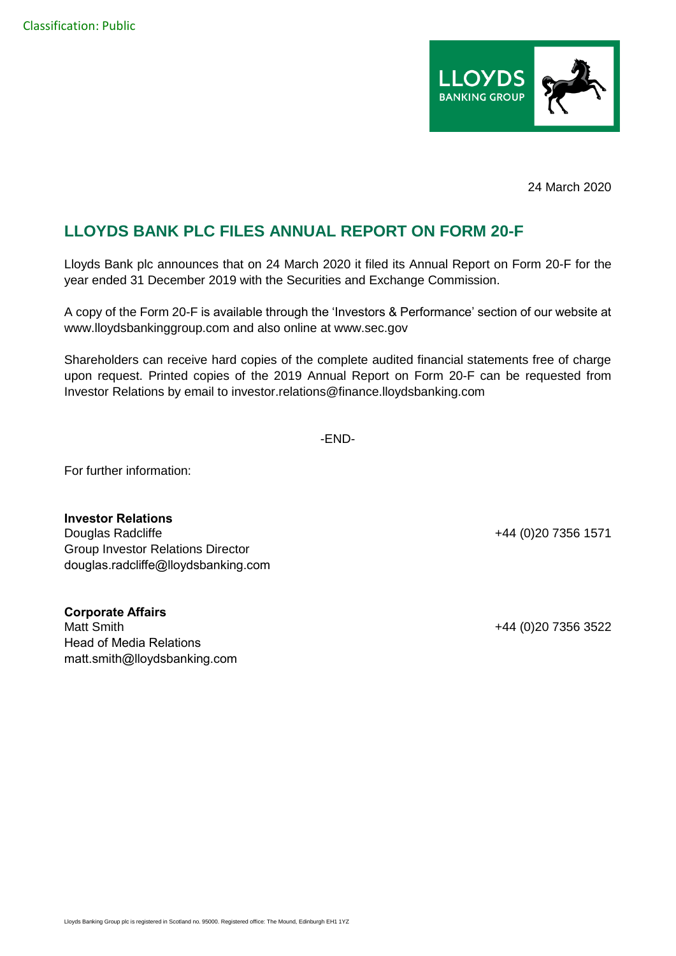

24 March 2020

## **LLOYDS BANK PLC FILES ANNUAL REPORT ON FORM 20-F**

Lloyds Bank plc announces that on 24 March 2020 it filed its Annual Report on Form 20-F for the year ended 31 December 2019 with the Securities and Exchange Commission.

A copy of the Form 20-F is available through the 'Investors & Performance' section of our website at www.lloydsbankinggroup.com and also online at www.sec.gov

Shareholders can receive hard copies of the complete audited financial statements free of charge upon request. Printed copies of the 2019 Annual Report on Form 20-F can be requested from Investor Relations by email to investor.relations@finance.lloydsbanking.com

-END-

For further information:

**Investor Relations** Douglas Radcliffe +44 (0)20 7356 1571 Group Investor Relations Director douglas.radcliffe@lloydsbanking.com

**Corporate Affairs** Matt Smith +44 (0)20 7356 3522 Head of Media Relations matt.smith@lloydsbanking.com